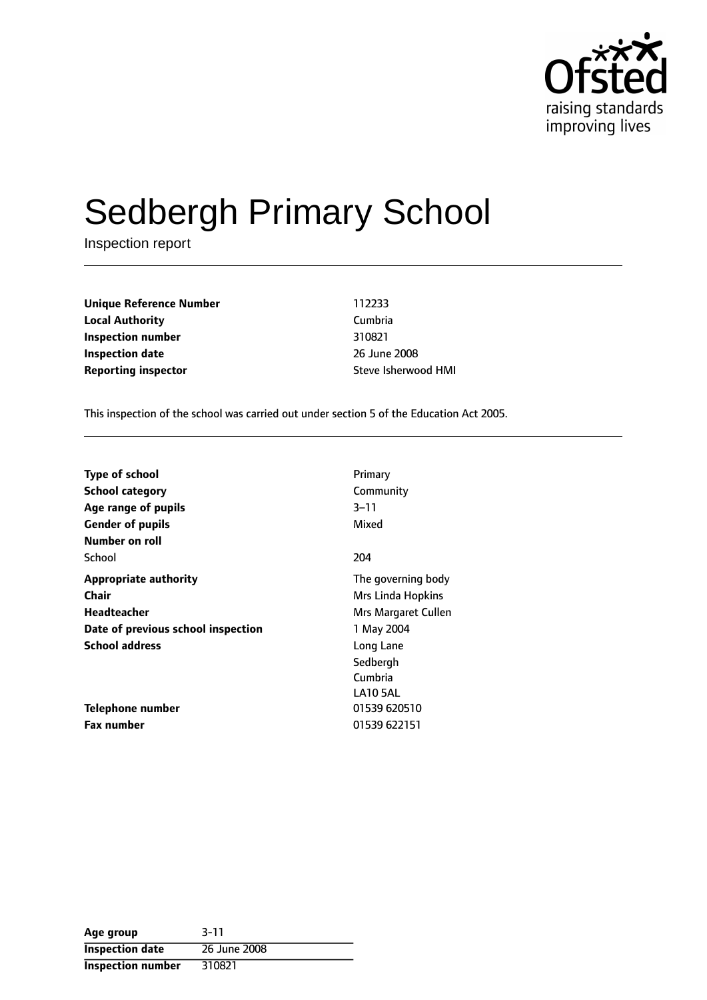

# Sedbergh Primary School

Inspection report

**Unique Reference Number** 112233 **Local Authority** Cumbria **Inspection number** 310821 **Inspection date** 2008 **Reporting inspector instance in the Steve Isherwood HMI** 

This inspection of the school was carried out under section 5 of the Education Act 2005.

| Type of school                     | Primary             |
|------------------------------------|---------------------|
| <b>School category</b>             | Community           |
| Age range of pupils                | $3 - 11$            |
| <b>Gender of pupils</b>            | Mixed               |
| Number on roll                     |                     |
| School                             | 204                 |
| <b>Appropriate authority</b>       | The governing body  |
| <b>Chair</b>                       | Mrs Linda Hopkins   |
| Headteacher                        | Mrs Margaret Cullen |
| Date of previous school inspection | 1 May 2004          |
| <b>School address</b>              | Long Lane           |
|                                    | Sedbergh            |
|                                    | Cumbria             |
|                                    | <b>LA10 5AL</b>     |
| Telephone number                   | 01539 620510        |
| Fax number                         | 01539 622151        |

| Age group                | $3 - 11$     |
|--------------------------|--------------|
| <b>Inspection date</b>   | 26 June 2008 |
| <b>Inspection number</b> | 310821       |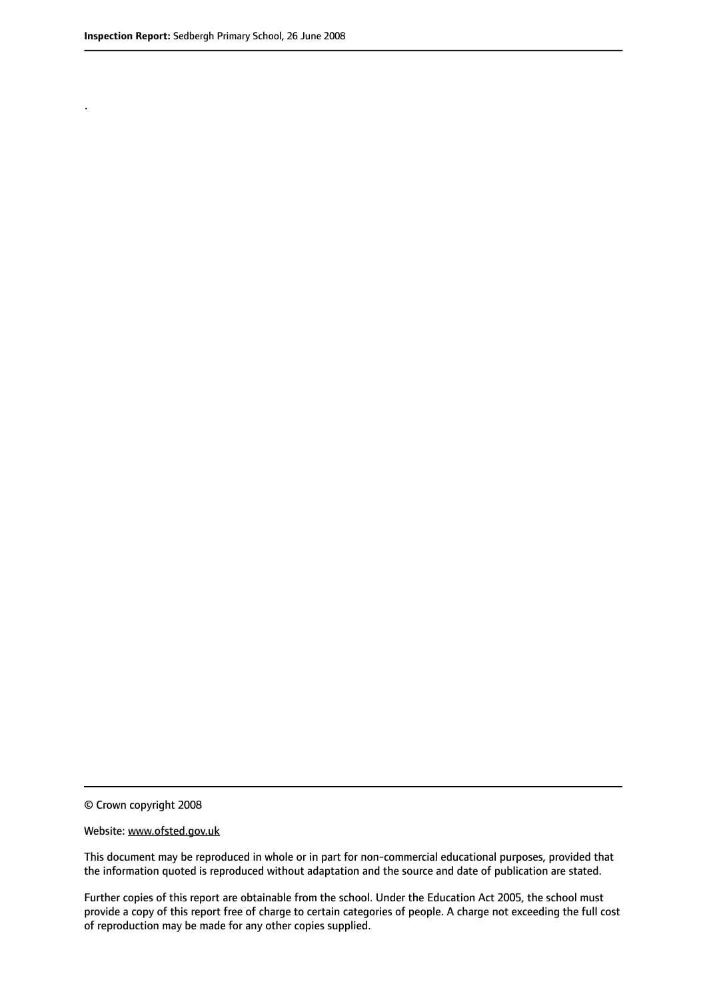.

© Crown copyright 2008

#### Website: www.ofsted.gov.uk

This document may be reproduced in whole or in part for non-commercial educational purposes, provided that the information quoted is reproduced without adaptation and the source and date of publication are stated.

Further copies of this report are obtainable from the school. Under the Education Act 2005, the school must provide a copy of this report free of charge to certain categories of people. A charge not exceeding the full cost of reproduction may be made for any other copies supplied.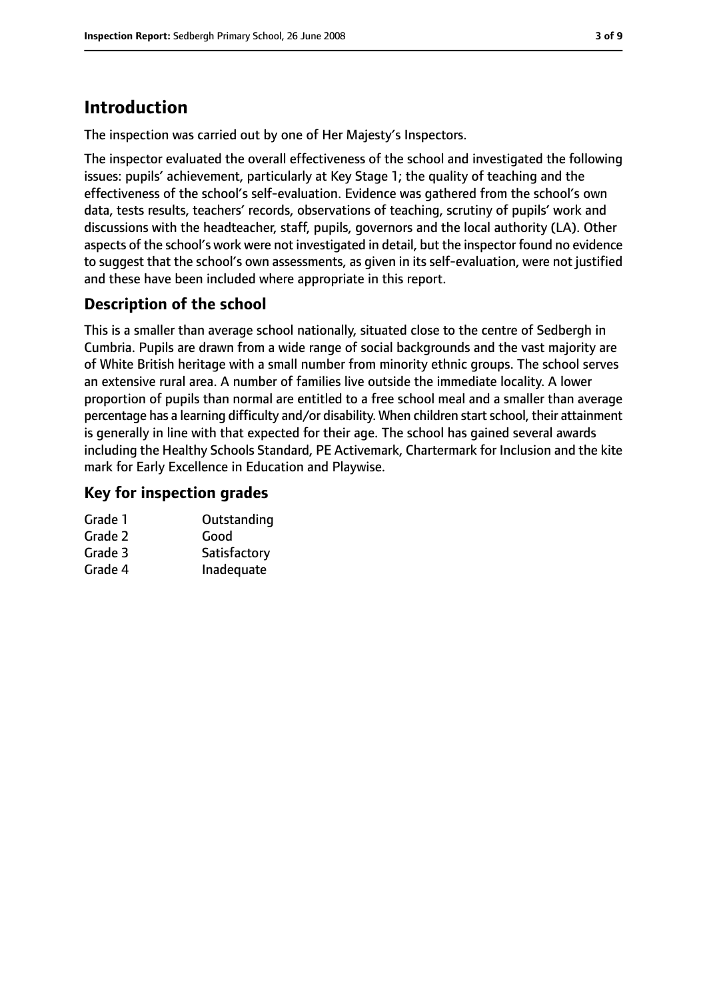# **Introduction**

The inspection was carried out by one of Her Majesty's Inspectors.

The inspector evaluated the overall effectiveness of the school and investigated the following issues: pupils' achievement, particularly at Key Stage 1; the quality of teaching and the effectiveness of the school's self-evaluation. Evidence was gathered from the school's own data, tests results, teachers' records, observations of teaching, scrutiny of pupils' work and discussions with the headteacher, staff, pupils, governors and the local authority (LA). Other aspects of the school's work were not investigated in detail, but the inspector found no evidence to suggest that the school's own assessments, as given in its self-evaluation, were not justified and these have been included where appropriate in this report.

## **Description of the school**

This is a smaller than average school nationally, situated close to the centre of Sedbergh in Cumbria. Pupils are drawn from a wide range of social backgrounds and the vast majority are of White British heritage with a small number from minority ethnic groups. The school serves an extensive rural area. A number of families live outside the immediate locality. A lower proportion of pupils than normal are entitled to a free school meal and a smaller than average percentage has a learning difficulty and/or disability. When children startschool, their attainment is generally in line with that expected for their age. The school has gained several awards including the Healthy Schools Standard, PE Activemark, Chartermark for Inclusion and the kite mark for Early Excellence in Education and Playwise.

## **Key for inspection grades**

| Grade 1 | Outstanding  |
|---------|--------------|
| Grade 2 | Good         |
| Grade 3 | Satisfactory |
| Grade 4 | Inadequate   |
|         |              |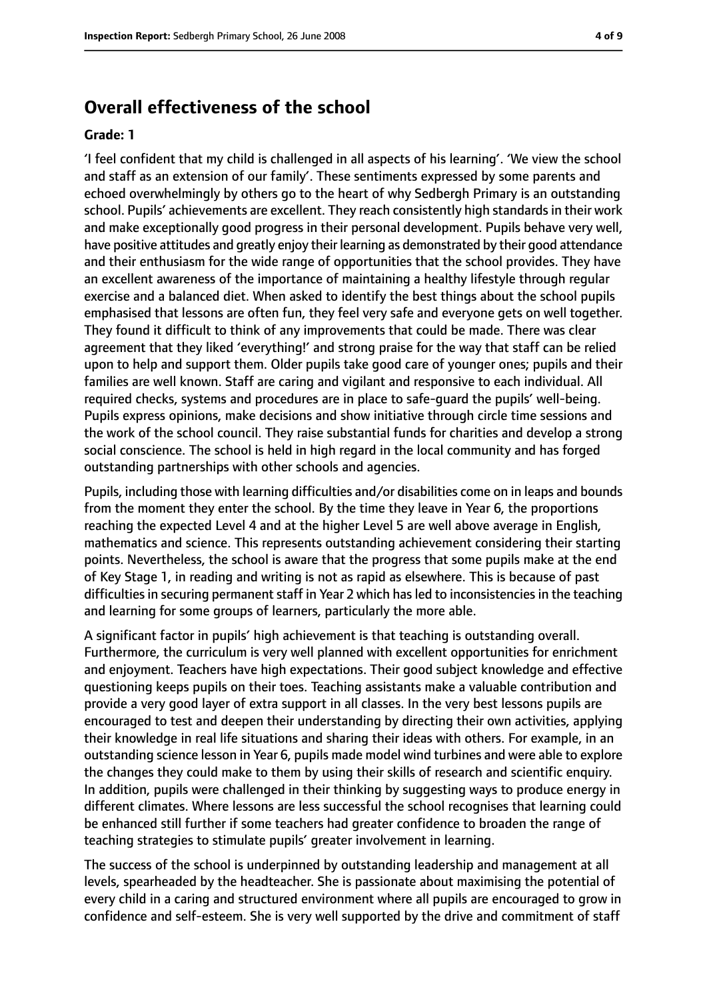## **Overall effectiveness of the school**

#### **Grade: 1**

'I feel confident that my child is challenged in all aspects of his learning'. 'We view the school and staff as an extension of our family'. These sentiments expressed by some parents and echoed overwhelmingly by others go to the heart of why Sedbergh Primary is an outstanding school. Pupils' achievements are excellent. They reach consistently high standards in their work and make exceptionally good progress in their personal development. Pupils behave very well, have positive attitudes and greatly enjoy their learning as demonstrated by their good attendance and their enthusiasm for the wide range of opportunities that the school provides. They have an excellent awareness of the importance of maintaining a healthy lifestyle through regular exercise and a balanced diet. When asked to identify the best things about the school pupils emphasised that lessons are often fun, they feel very safe and everyone gets on well together. They found it difficult to think of any improvements that could be made. There was clear agreement that they liked 'everything!' and strong praise for the way that staff can be relied upon to help and support them. Older pupils take good care of younger ones; pupils and their families are well known. Staff are caring and vigilant and responsive to each individual. All required checks, systems and procedures are in place to safe-guard the pupils' well-being. Pupils express opinions, make decisions and show initiative through circle time sessions and the work of the school council. They raise substantial funds for charities and develop a strong social conscience. The school is held in high regard in the local community and has forged outstanding partnerships with other schools and agencies.

Pupils, including those with learning difficulties and/or disabilities come on in leaps and bounds from the moment they enter the school. By the time they leave in Year 6, the proportions reaching the expected Level 4 and at the higher Level 5 are well above average in English, mathematics and science. This represents outstanding achievement considering their starting points. Nevertheless, the school is aware that the progress that some pupils make at the end of Key Stage 1, in reading and writing is not as rapid as elsewhere. This is because of past difficulties in securing permanent staff in Year 2 which has led to inconsistencies in the teaching and learning for some groups of learners, particularly the more able.

A significant factor in pupils' high achievement is that teaching is outstanding overall. Furthermore, the curriculum is very well planned with excellent opportunities for enrichment and enjoyment. Teachers have high expectations. Their good subject knowledge and effective questioning keeps pupils on their toes. Teaching assistants make a valuable contribution and provide a very good layer of extra support in all classes. In the very best lessons pupils are encouraged to test and deepen their understanding by directing their own activities, applying their knowledge in real life situations and sharing their ideas with others. For example, in an outstanding science lesson in Year 6, pupils made model wind turbines and were able to explore the changes they could make to them by using their skills of research and scientific enquiry. In addition, pupils were challenged in their thinking by suggesting ways to produce energy in different climates. Where lessons are less successful the school recognises that learning could be enhanced still further if some teachers had greater confidence to broaden the range of teaching strategies to stimulate pupils' greater involvement in learning.

The success of the school is underpinned by outstanding leadership and management at all levels, spearheaded by the headteacher. She is passionate about maximising the potential of every child in a caring and structured environment where all pupils are encouraged to grow in confidence and self-esteem. She is very well supported by the drive and commitment of staff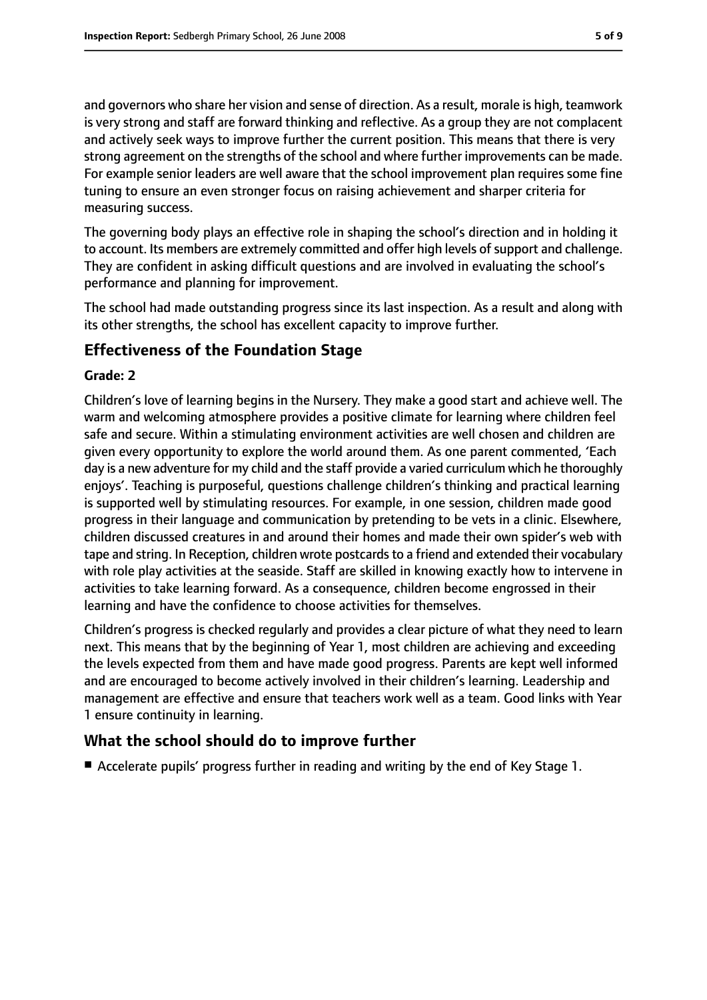and governors who share her vision and sense of direction. As a result, morale is high, teamwork is very strong and staff are forward thinking and reflective. As a group they are not complacent and actively seek ways to improve further the current position. This means that there is very strong agreement on the strengths of the school and where further improvements can be made. For example senior leaders are well aware that the school improvement plan requires some fine tuning to ensure an even stronger focus on raising achievement and sharper criteria for measuring success.

The governing body plays an effective role in shaping the school's direction and in holding it to account. Its members are extremely committed and offer high levels of support and challenge. They are confident in asking difficult questions and are involved in evaluating the school's performance and planning for improvement.

The school had made outstanding progress since its last inspection. As a result and along with its other strengths, the school has excellent capacity to improve further.

## **Effectiveness of the Foundation Stage**

## **Grade: 2**

Children's love of learning begins in the Nursery. They make a good start and achieve well. The warm and welcoming atmosphere provides a positive climate for learning where children feel safe and secure. Within a stimulating environment activities are well chosen and children are given every opportunity to explore the world around them. As one parent commented, 'Each day is a new adventure for my child and the staff provide a varied curriculum which he thoroughly enjoys'. Teaching is purposeful, questions challenge children's thinking and practical learning is supported well by stimulating resources. For example, in one session, children made good progress in their language and communication by pretending to be vets in a clinic. Elsewhere, children discussed creatures in and around their homes and made their own spider's web with tape and string. In Reception, children wrote postcards to a friend and extended their vocabulary with role play activities at the seaside. Staff are skilled in knowing exactly how to intervene in activities to take learning forward. As a consequence, children become engrossed in their learning and have the confidence to choose activities for themselves.

Children's progress is checked regularly and provides a clear picture of what they need to learn next. This means that by the beginning of Year 1, most children are achieving and exceeding the levels expected from them and have made good progress. Parents are kept well informed and are encouraged to become actively involved in their children's learning. Leadership and management are effective and ensure that teachers work well as a team. Good links with Year 1 ensure continuity in learning.

## **What the school should do to improve further**

■ Accelerate pupils' progress further in reading and writing by the end of Key Stage 1.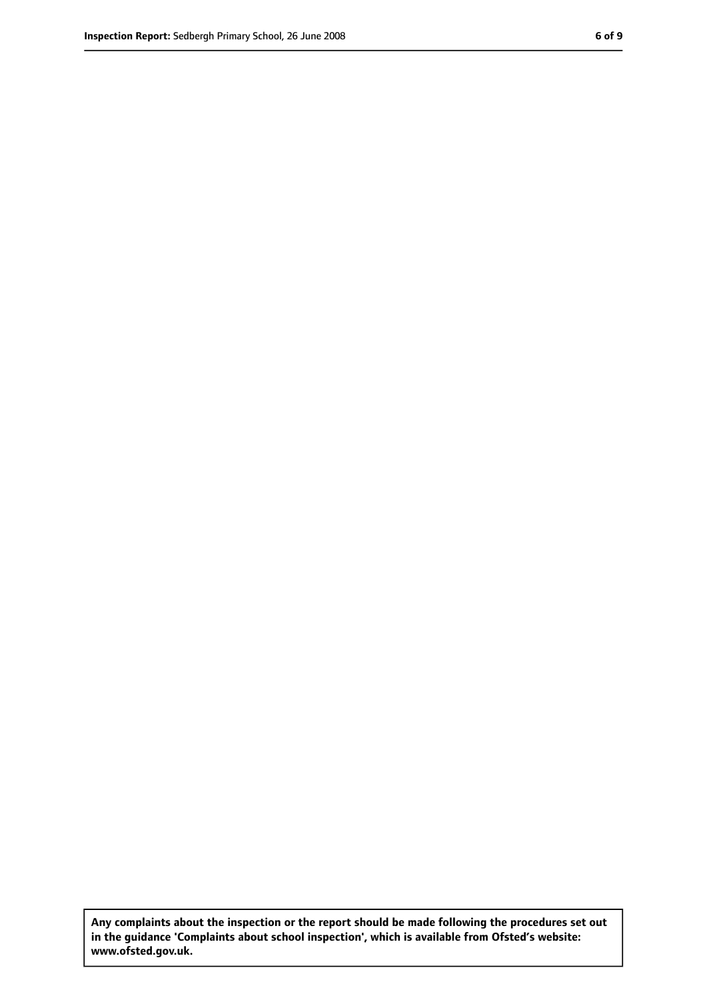**Any complaints about the inspection or the report should be made following the procedures set out in the guidance 'Complaints about school inspection', which is available from Ofsted's website: www.ofsted.gov.uk.**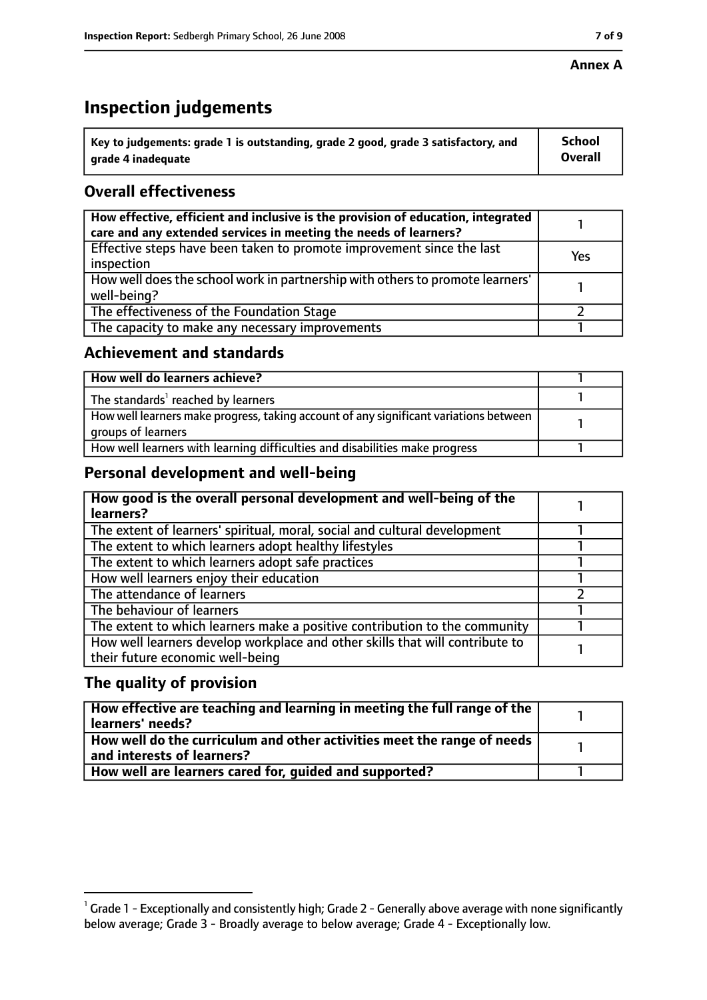#### **Annex A**

## **Inspection judgements**

| $^{\backprime}$ Key to judgements: grade 1 is outstanding, grade 2 good, grade 3 satisfactory, and | <b>School</b>  |
|----------------------------------------------------------------------------------------------------|----------------|
| arade 4 inadequate                                                                                 | <b>Overall</b> |

## **Overall effectiveness**

| How effective, efficient and inclusive is the provision of education, integrated<br>care and any extended services in meeting the needs of learners? |     |
|------------------------------------------------------------------------------------------------------------------------------------------------------|-----|
| Effective steps have been taken to promote improvement since the last<br>inspection                                                                  | Yes |
| How well does the school work in partnership with others to promote learners'<br>well-being?                                                         |     |
| The effectiveness of the Foundation Stage                                                                                                            |     |
| The capacity to make any necessary improvements                                                                                                      |     |

## **Achievement and standards**

| How well do learners achieve?                                                                               |  |
|-------------------------------------------------------------------------------------------------------------|--|
| The standards <sup>1</sup> reached by learners                                                              |  |
| How well learners make progress, taking account of any significant variations between<br>groups of learners |  |
| How well learners with learning difficulties and disabilities make progress                                 |  |

## **Personal development and well-being**

| How good is the overall personal development and well-being of the<br>learners?                                  |  |
|------------------------------------------------------------------------------------------------------------------|--|
| The extent of learners' spiritual, moral, social and cultural development                                        |  |
| The extent to which learners adopt healthy lifestyles                                                            |  |
| The extent to which learners adopt safe practices                                                                |  |
| How well learners enjoy their education                                                                          |  |
| The attendance of learners                                                                                       |  |
| The behaviour of learners                                                                                        |  |
| The extent to which learners make a positive contribution to the community                                       |  |
| How well learners develop workplace and other skills that will contribute to<br>their future economic well-being |  |

## **The quality of provision**

| How effective are teaching and learning in meeting the full range of the<br>learners' needs?          |  |
|-------------------------------------------------------------------------------------------------------|--|
| How well do the curriculum and other activities meet the range of needs<br>and interests of learners? |  |
| How well are learners cared for, quided and supported?                                                |  |

 $^1$  Grade 1 - Exceptionally and consistently high; Grade 2 - Generally above average with none significantly below average; Grade 3 - Broadly average to below average; Grade 4 - Exceptionally low.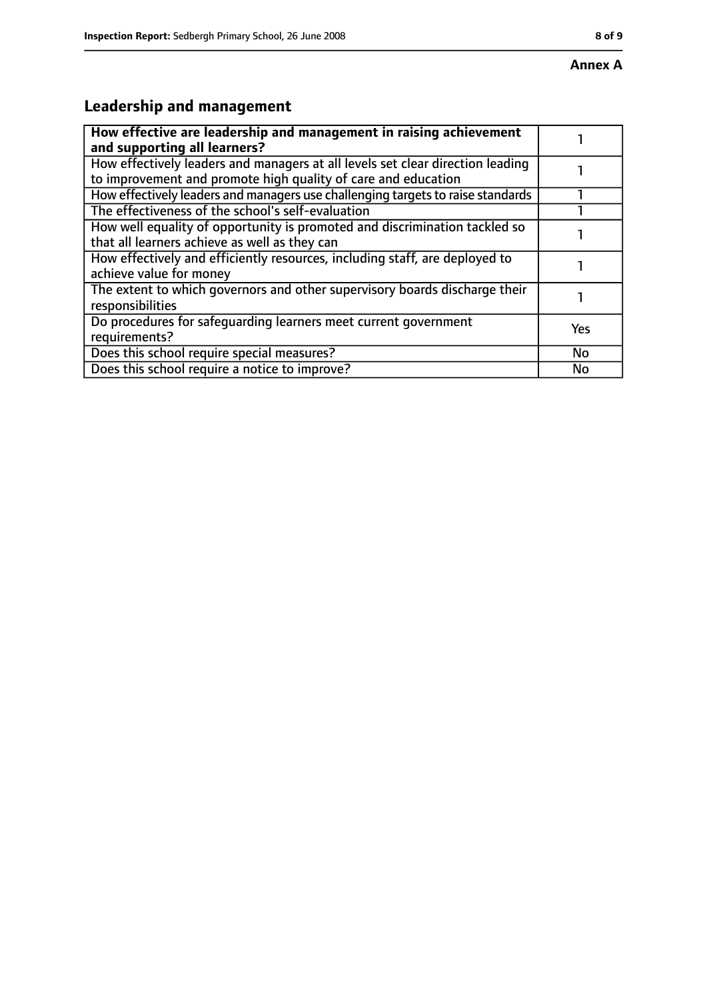# **Leadership and management**

| How effective are leadership and management in raising achievement<br>and supporting all learners?                                              |           |
|-------------------------------------------------------------------------------------------------------------------------------------------------|-----------|
| How effectively leaders and managers at all levels set clear direction leading<br>to improvement and promote high quality of care and education |           |
| How effectively leaders and managers use challenging targets to raise standards                                                                 |           |
| The effectiveness of the school's self-evaluation                                                                                               |           |
| How well equality of opportunity is promoted and discrimination tackled so<br>that all learners achieve as well as they can                     |           |
| How effectively and efficiently resources, including staff, are deployed to<br>achieve value for money                                          |           |
| The extent to which governors and other supervisory boards discharge their<br>responsibilities                                                  |           |
| Do procedures for safequarding learners meet current government<br>requirements?                                                                | Yes       |
| Does this school require special measures?                                                                                                      | <b>No</b> |
| Does this school require a notice to improve?                                                                                                   | No        |